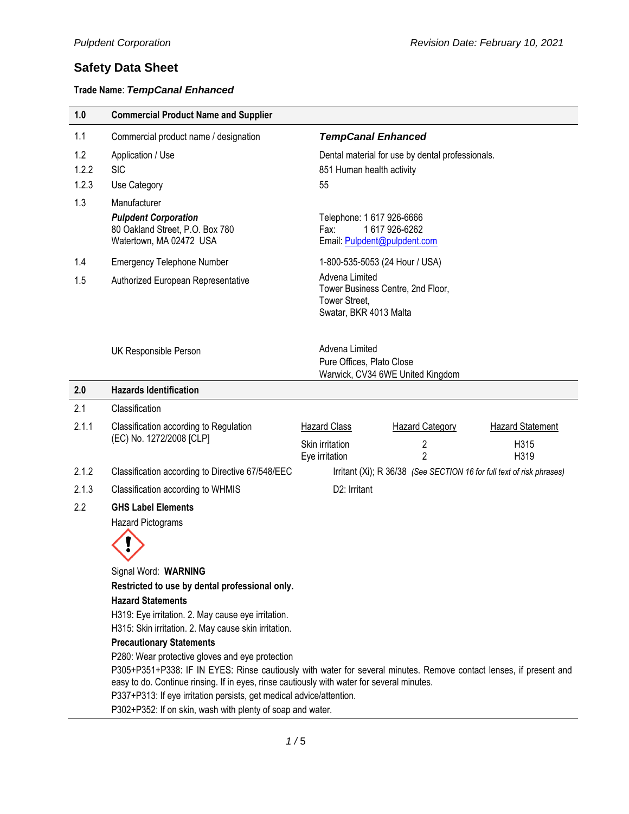### **Trade Name**: *TempCanal Enhanced*

| 1.0          | <b>Commercial Product Name and Supplier</b>                                                                                                                           |                                                                   |                                                                       |                         |  |
|--------------|-----------------------------------------------------------------------------------------------------------------------------------------------------------------------|-------------------------------------------------------------------|-----------------------------------------------------------------------|-------------------------|--|
| 1.1          | Commercial product name / designation                                                                                                                                 | <b>TempCanal Enhanced</b>                                         |                                                                       |                         |  |
| 1.2<br>1.2.2 | Application / Use<br><b>SIC</b>                                                                                                                                       | 851 Human health activity                                         | Dental material for use by dental professionals.                      |                         |  |
| 1.2.3        | Use Category                                                                                                                                                          | 55                                                                |                                                                       |                         |  |
| 1.3          | Manufacturer                                                                                                                                                          |                                                                   |                                                                       |                         |  |
|              | <b>Pulpdent Corporation</b><br>80 Oakland Street, P.O. Box 780<br>Watertown, MA 02472 USA                                                                             | Telephone: 1 617 926-6666<br>Fax:<br>Email: Pulpdent@pulpdent.com | 1617926-6262                                                          |                         |  |
| 1.4          | <b>Emergency Telephone Number</b>                                                                                                                                     |                                                                   | 1-800-535-5053 (24 Hour / USA)                                        |                         |  |
| 1.5          | Authorized European Representative                                                                                                                                    | Advena Limited<br>Tower Street,<br>Swatar, BKR 4013 Malta         | Tower Business Centre, 2nd Floor,                                     |                         |  |
|              | UK Responsible Person                                                                                                                                                 | Advena Limited<br>Pure Offices, Plato Close                       | Warwick, CV34 6WE United Kingdom                                      |                         |  |
| 2.0          | <b>Hazards Identification</b>                                                                                                                                         |                                                                   |                                                                       |                         |  |
| 2.1          | Classification                                                                                                                                                        |                                                                   |                                                                       |                         |  |
| 2.1.1        | Classification according to Regulation<br>(EC) No. 1272/2008 [CLP]                                                                                                    | <b>Hazard Class</b>                                               | <b>Hazard Category</b>                                                | <b>Hazard Statement</b> |  |
|              |                                                                                                                                                                       | Skin irritation<br>Eye irritation                                 | 2<br>$\overline{2}$                                                   | H315<br>H319            |  |
| 2.1.2        | Classification according to Directive 67/548/EEC                                                                                                                      |                                                                   | Irritant (Xi); R 36/38 (See SECTION 16 for full text of risk phrases) |                         |  |
| 2.1.3        | Classification according to WHMIS                                                                                                                                     | D2: Irritant                                                      |                                                                       |                         |  |
| 2.2          | <b>GHS Label Elements</b>                                                                                                                                             |                                                                   |                                                                       |                         |  |
|              | <b>Hazard Pictograms</b>                                                                                                                                              |                                                                   |                                                                       |                         |  |
|              |                                                                                                                                                                       |                                                                   |                                                                       |                         |  |
|              | Signal Word: WARNING                                                                                                                                                  |                                                                   |                                                                       |                         |  |
|              | Restricted to use by dental professional only.                                                                                                                        |                                                                   |                                                                       |                         |  |
|              | <b>Hazard Statements</b>                                                                                                                                              |                                                                   |                                                                       |                         |  |
|              | H319: Eye irritation. 2. May cause eye irritation.<br>H315: Skin irritation. 2. May cause skin irritation.                                                            |                                                                   |                                                                       |                         |  |
|              |                                                                                                                                                                       |                                                                   |                                                                       |                         |  |
|              | <b>Precautionary Statements</b>                                                                                                                                       |                                                                   |                                                                       |                         |  |
|              | P280: Wear protective gloves and eye protection<br>P305+P351+P338: IF IN EYES: Rinse cautiously with water for several minutes. Remove contact lenses, if present and |                                                                   |                                                                       |                         |  |
|              | easy to do. Continue rinsing. If in eyes, rinse cautiously with water for several minutes.                                                                            |                                                                   |                                                                       |                         |  |
|              | P337+P313: If eye irritation persists, get medical advice/attention.                                                                                                  |                                                                   |                                                                       |                         |  |

P302+P352: If on skin, wash with plenty of soap and water.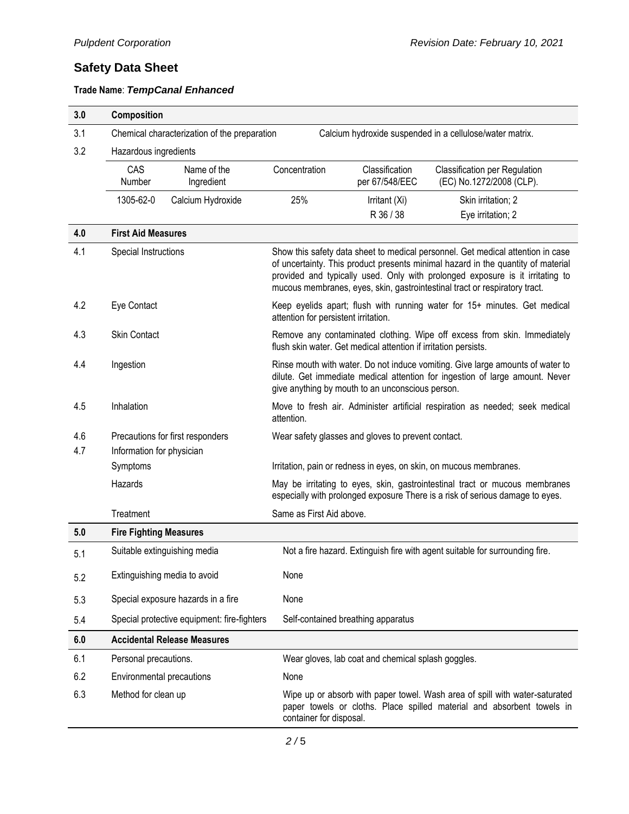| 3.0 | Composition                                                                                              |                                             |                                                    |                                                                 |                                                                                                                                                                                                                                                                                                                                    |
|-----|----------------------------------------------------------------------------------------------------------|---------------------------------------------|----------------------------------------------------|-----------------------------------------------------------------|------------------------------------------------------------------------------------------------------------------------------------------------------------------------------------------------------------------------------------------------------------------------------------------------------------------------------------|
| 3.1 | Chemical characterization of the preparation<br>Calcium hydroxide suspended in a cellulose/water matrix. |                                             |                                                    |                                                                 |                                                                                                                                                                                                                                                                                                                                    |
| 3.2 | Hazardous ingredients                                                                                    |                                             |                                                    |                                                                 |                                                                                                                                                                                                                                                                                                                                    |
|     | CAS<br>Number                                                                                            | Name of the<br>Ingredient                   | Concentration                                      | Classification<br>per 67/548/EEC                                | Classification per Regulation<br>(EC) No.1272/2008 (CLP).                                                                                                                                                                                                                                                                          |
|     | 1305-62-0                                                                                                | Calcium Hydroxide                           | 25%                                                | Irritant (Xi)                                                   | Skin irritation; 2                                                                                                                                                                                                                                                                                                                 |
|     |                                                                                                          |                                             |                                                    | R 36 / 38                                                       | Eye irritation; 2                                                                                                                                                                                                                                                                                                                  |
| 4.0 | <b>First Aid Measures</b>                                                                                |                                             |                                                    |                                                                 |                                                                                                                                                                                                                                                                                                                                    |
| 4.1 | Special Instructions                                                                                     |                                             |                                                    |                                                                 | Show this safety data sheet to medical personnel. Get medical attention in case<br>of uncertainty. This product presents minimal hazard in the quantity of material<br>provided and typically used. Only with prolonged exposure is it irritating to<br>mucous membranes, eyes, skin, gastrointestinal tract or respiratory tract. |
| 4.2 | Eye Contact                                                                                              |                                             | attention for persistent irritation.               |                                                                 | Keep eyelids apart; flush with running water for 15+ minutes. Get medical                                                                                                                                                                                                                                                          |
| 4.3 | <b>Skin Contact</b>                                                                                      |                                             |                                                    | flush skin water. Get medical attention if irritation persists. | Remove any contaminated clothing. Wipe off excess from skin. Immediately                                                                                                                                                                                                                                                           |
| 4.4 | Ingestion                                                                                                |                                             |                                                    | give anything by mouth to an unconscious person.                | Rinse mouth with water. Do not induce vomiting. Give large amounts of water to<br>dilute. Get immediate medical attention for ingestion of large amount. Never                                                                                                                                                                     |
| 4.5 | Inhalation                                                                                               |                                             | attention.                                         |                                                                 | Move to fresh air. Administer artificial respiration as needed; seek medical                                                                                                                                                                                                                                                       |
| 4.6 | Precautions for first responders                                                                         |                                             | Wear safety glasses and gloves to prevent contact. |                                                                 |                                                                                                                                                                                                                                                                                                                                    |
| 4.7 | Information for physician                                                                                |                                             |                                                    |                                                                 |                                                                                                                                                                                                                                                                                                                                    |
|     | Symptoms                                                                                                 |                                             |                                                    |                                                                 | Irritation, pain or redness in eyes, on skin, on mucous membranes.                                                                                                                                                                                                                                                                 |
|     | Hazards                                                                                                  |                                             |                                                    |                                                                 | May be irritating to eyes, skin, gastrointestinal tract or mucous membranes<br>especially with prolonged exposure There is a risk of serious damage to eyes.                                                                                                                                                                       |
|     | Treatment                                                                                                |                                             | Same as First Aid above.                           |                                                                 |                                                                                                                                                                                                                                                                                                                                    |
| 5.0 | <b>Fire Fighting Measures</b>                                                                            |                                             |                                                    |                                                                 |                                                                                                                                                                                                                                                                                                                                    |
| 5.1 |                                                                                                          | Suitable extinguishing media                |                                                    |                                                                 | Not a fire hazard. Extinguish fire with agent suitable for surrounding fire.                                                                                                                                                                                                                                                       |
| 5.2 |                                                                                                          | Extinguishing media to avoid                | None                                               |                                                                 |                                                                                                                                                                                                                                                                                                                                    |
| 5.3 |                                                                                                          | Special exposure hazards in a fire          | None                                               |                                                                 |                                                                                                                                                                                                                                                                                                                                    |
| 5.4 |                                                                                                          | Special protective equipment: fire-fighters |                                                    | Self-contained breathing apparatus                              |                                                                                                                                                                                                                                                                                                                                    |
| 6.0 |                                                                                                          | <b>Accidental Release Measures</b>          |                                                    |                                                                 |                                                                                                                                                                                                                                                                                                                                    |
| 6.1 | Personal precautions.                                                                                    |                                             |                                                    | Wear gloves, lab coat and chemical splash goggles.              |                                                                                                                                                                                                                                                                                                                                    |
| 6.2 | Environmental precautions                                                                                |                                             | None                                               |                                                                 |                                                                                                                                                                                                                                                                                                                                    |
| 6.3 | Method for clean up                                                                                      |                                             | container for disposal.                            |                                                                 | Wipe up or absorb with paper towel. Wash area of spill with water-saturated<br>paper towels or cloths. Place spilled material and absorbent towels in                                                                                                                                                                              |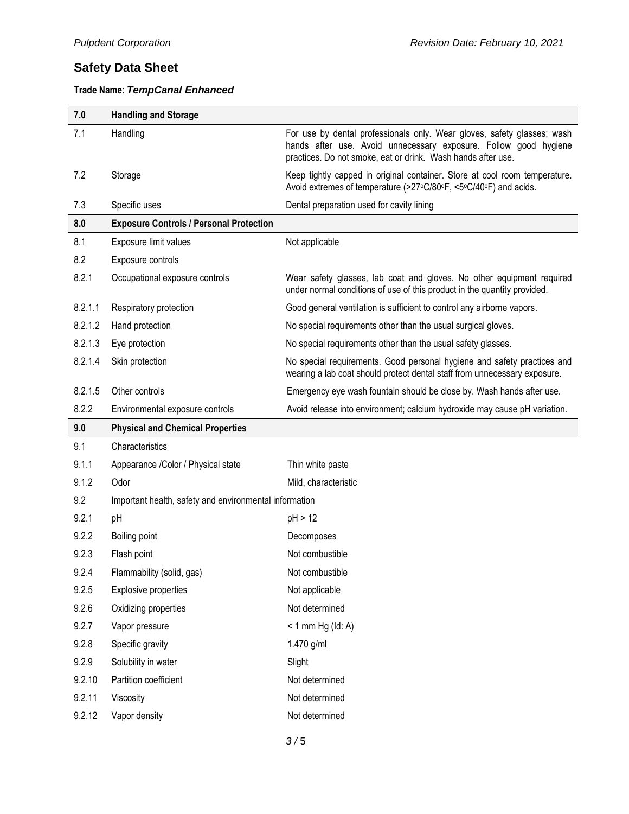| 7.0     | <b>Handling and Storage</b>                            |                                                                                                                                                                                                             |
|---------|--------------------------------------------------------|-------------------------------------------------------------------------------------------------------------------------------------------------------------------------------------------------------------|
| 7.1     | Handling                                               | For use by dental professionals only. Wear gloves, safety glasses; wash<br>hands after use. Avoid unnecessary exposure. Follow good hygiene<br>practices. Do not smoke, eat or drink. Wash hands after use. |
| 7.2     | Storage                                                | Keep tightly capped in original container. Store at cool room temperature.<br>Avoid extremes of temperature (>27°C/80°F, <5°C/40°F) and acids.                                                              |
| 7.3     | Specific uses                                          | Dental preparation used for cavity lining                                                                                                                                                                   |
| 8.0     | <b>Exposure Controls / Personal Protection</b>         |                                                                                                                                                                                                             |
| 8.1     | Exposure limit values                                  | Not applicable                                                                                                                                                                                              |
| 8.2     | Exposure controls                                      |                                                                                                                                                                                                             |
| 8.2.1   | Occupational exposure controls                         | Wear safety glasses, lab coat and gloves. No other equipment required<br>under normal conditions of use of this product in the quantity provided.                                                           |
| 8.2.1.1 | Respiratory protection                                 | Good general ventilation is sufficient to control any airborne vapors.                                                                                                                                      |
| 8.2.1.2 | Hand protection                                        | No special requirements other than the usual surgical gloves.                                                                                                                                               |
| 8.2.1.3 | Eye protection                                         | No special requirements other than the usual safety glasses.                                                                                                                                                |
| 8.2.1.4 | Skin protection                                        | No special requirements. Good personal hygiene and safety practices and<br>wearing a lab coat should protect dental staff from unnecessary exposure.                                                        |
| 8.2.1.5 | Other controls                                         | Emergency eye wash fountain should be close by. Wash hands after use.                                                                                                                                       |
| 8.2.2   | Environmental exposure controls                        | Avoid release into environment; calcium hydroxide may cause pH variation.                                                                                                                                   |
|         |                                                        |                                                                                                                                                                                                             |
| 9.0     | <b>Physical and Chemical Properties</b>                |                                                                                                                                                                                                             |
| 9.1     | Characteristics                                        |                                                                                                                                                                                                             |
| 9.1.1   | Appearance /Color / Physical state                     | Thin white paste                                                                                                                                                                                            |
| 9.1.2   | Odor                                                   | Mild, characteristic                                                                                                                                                                                        |
| 9.2     | Important health, safety and environmental information |                                                                                                                                                                                                             |
| 9.2.1   | pH                                                     | pH > 12                                                                                                                                                                                                     |
| 9.2.2   | Boiling point                                          | Decomposes                                                                                                                                                                                                  |
| 9.2.3   | Flash point                                            | Not combustible                                                                                                                                                                                             |
| 9.2.4   | Flammability (solid, gas)                              | Not combustible                                                                                                                                                                                             |
| 9.2.5   | Explosive properties                                   | Not applicable                                                                                                                                                                                              |
| 9.2.6   | Oxidizing properties                                   | Not determined                                                                                                                                                                                              |
| 9.2.7   | Vapor pressure                                         | $< 1$ mm Hg (ld: A)                                                                                                                                                                                         |
| 9.2.8   | Specific gravity                                       | 1.470 g/ml                                                                                                                                                                                                  |
| 9.2.9   | Solubility in water                                    | Slight                                                                                                                                                                                                      |
| 9.2.10  | Partition coefficient                                  | Not determined                                                                                                                                                                                              |
| 9.2.11  | Viscosity                                              | Not determined                                                                                                                                                                                              |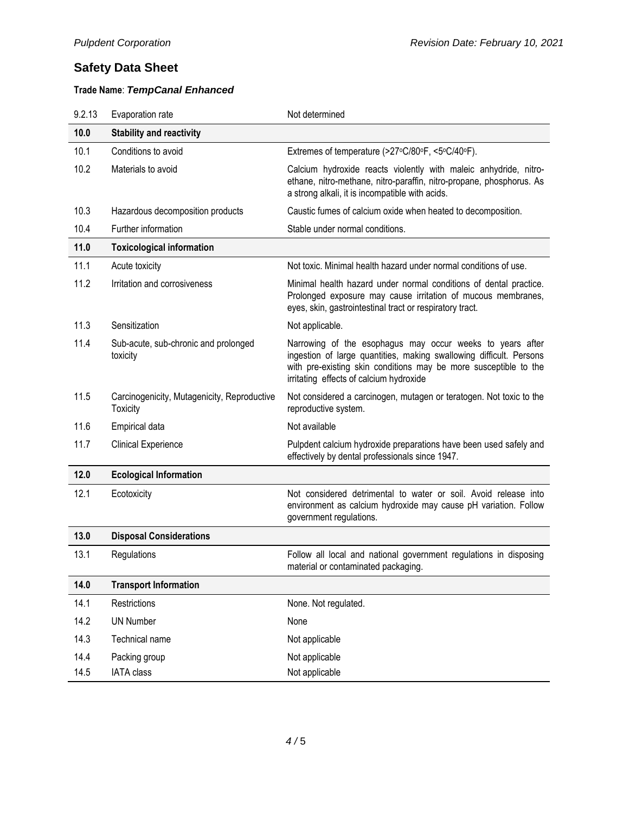| 9.2.13 | Evaporation rate                                               | Not determined                                                                                                                                                                                                                                  |
|--------|----------------------------------------------------------------|-------------------------------------------------------------------------------------------------------------------------------------------------------------------------------------------------------------------------------------------------|
| 10.0   | <b>Stability and reactivity</b>                                |                                                                                                                                                                                                                                                 |
| 10.1   | Conditions to avoid                                            | Extremes of temperature (>27°C/80°F, <5°C/40°F).                                                                                                                                                                                                |
| 10.2   | Materials to avoid                                             | Calcium hydroxide reacts violently with maleic anhydride, nitro-<br>ethane, nitro-methane, nitro-paraffin, nitro-propane, phosphorus. As<br>a strong alkali, it is incompatible with acids.                                                     |
| 10.3   | Hazardous decomposition products                               | Caustic fumes of calcium oxide when heated to decomposition.                                                                                                                                                                                    |
| 10.4   | Further information                                            | Stable under normal conditions.                                                                                                                                                                                                                 |
| 11.0   | <b>Toxicological information</b>                               |                                                                                                                                                                                                                                                 |
| 11.1   | Acute toxicity                                                 | Not toxic. Minimal health hazard under normal conditions of use.                                                                                                                                                                                |
| 11.2   | Irritation and corrosiveness                                   | Minimal health hazard under normal conditions of dental practice.<br>Prolonged exposure may cause irritation of mucous membranes,<br>eyes, skin, gastrointestinal tract or respiratory tract.                                                   |
| 11.3   | Sensitization                                                  | Not applicable.                                                                                                                                                                                                                                 |
| 11.4   | Sub-acute, sub-chronic and prolonged<br>toxicity               | Narrowing of the esophagus may occur weeks to years after<br>ingestion of large quantities, making swallowing difficult. Persons<br>with pre-existing skin conditions may be more susceptible to the<br>irritating effects of calcium hydroxide |
| 11.5   | Carcinogenicity, Mutagenicity, Reproductive<br><b>Toxicity</b> | Not considered a carcinogen, mutagen or teratogen. Not toxic to the<br>reproductive system.                                                                                                                                                     |
| 11.6   | Empirical data                                                 | Not available                                                                                                                                                                                                                                   |
| 11.7   | <b>Clinical Experience</b>                                     | Pulpdent calcium hydroxide preparations have been used safely and<br>effectively by dental professionals since 1947.                                                                                                                            |
| 12.0   | <b>Ecological Information</b>                                  |                                                                                                                                                                                                                                                 |
| 12.1   | Ecotoxicity                                                    | Not considered detrimental to water or soil. Avoid release into<br>environment as calcium hydroxide may cause pH variation. Follow<br>government regulations.                                                                                   |
| 13.0   | <b>Disposal Considerations</b>                                 |                                                                                                                                                                                                                                                 |
| 13.1   | Regulations                                                    | Follow all local and national government regulations in disposing<br>material or contaminated packaging.                                                                                                                                        |
| 14.0   | <b>Transport Information</b>                                   |                                                                                                                                                                                                                                                 |
| 14.1   | Restrictions                                                   | None. Not regulated.                                                                                                                                                                                                                            |
| 14.2   | <b>UN Number</b>                                               | None                                                                                                                                                                                                                                            |
| 14.3   | Technical name                                                 | Not applicable                                                                                                                                                                                                                                  |
| 14.4   | Packing group                                                  | Not applicable                                                                                                                                                                                                                                  |
| 14.5   | <b>IATA class</b>                                              | Not applicable                                                                                                                                                                                                                                  |